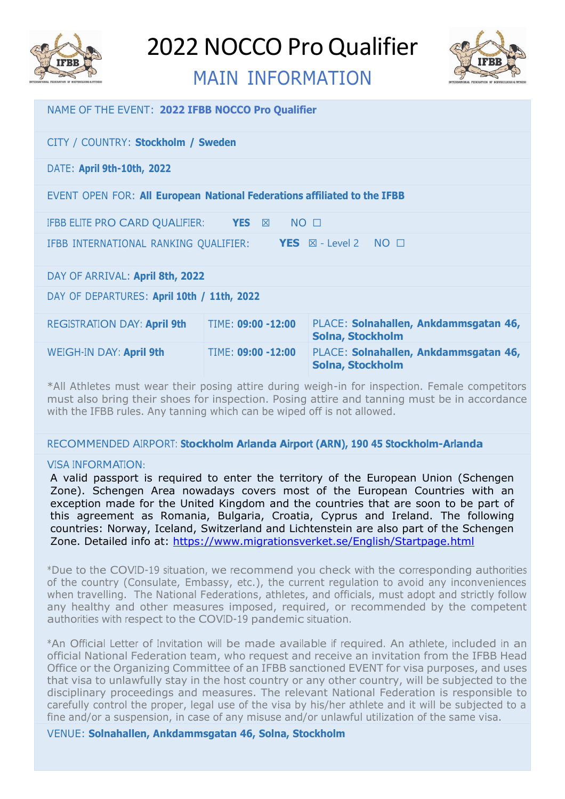

# MAIN INFORMATION



| NAME OF THE EVENT: 2022 IFBB NOCCO Pro Qualifier                                    |                    |                                                                  |
|-------------------------------------------------------------------------------------|--------------------|------------------------------------------------------------------|
| CITY / COUNTRY: Stockholm / Sweden                                                  |                    |                                                                  |
| DATE: April 9th-10th, 2022                                                          |                    |                                                                  |
| EVENT OPEN FOR: All European National Federations affiliated to the IFBB            |                    |                                                                  |
| $NO$ $\square$<br>IFBB ELITE PRO CARD QUALIFIER: YES <b>EXAM</b>                    |                    |                                                                  |
| IFBB INTERNATIONAL RANKING QUALIFIER:<br><b>YES</b> $\boxtimes$ - Level 2 NO $\Box$ |                    |                                                                  |
| DAY OF ARRIVAL: April 8th, 2022                                                     |                    |                                                                  |
| DAY OF DEPARTURES: April 10th / 11th, 2022                                          |                    |                                                                  |
| <b>REGISTRATION DAY: April 9th</b>                                                  | TIME: 09:00 -12:00 | PLACE: Solnahallen, Ankdammsgatan 46,<br><b>Solna, Stockholm</b> |
| WEIGH-IN DAY: April 9th                                                             | TIME: 09:00 -12:00 | PLACE: Solnahallen, Ankdammsgatan 46,<br><b>Solna, Stockholm</b> |

\*All Athletes must wear their posing attire during weigh-in for inspection. Female competitors must also bring their shoes for inspection. Posing attire and tanning must be in accordance with the IFBB rules. Any tanning which can be wiped off is not allowed.

# RECOMMENDED AIRPORT: **Stockholm Arlanda Airport (ARN), 190 45 Stockholm-Arlanda**

# VISA INFORMATION:

A valid passport is required to enter the territory of the European Union (Schengen Zone). Schengen Area nowadays covers most of the European Countries with an exception made for the United Kingdom and the countries that are soon to be part of this agreement as Romania, Bulgaria, Croatia, Cyprus and Ireland. The following countries: Norway, Iceland, Switzerland and Lichtenstein are also part of the Schengen Zone. Detailed info at:<https://www.migrationsverket.se/English/Startpage.html>

\*Due to the COVID-19 situation, we recommend you check with the corresponding authorities of the country (Consulate, Embassy, etc.), the current regulation to avoid any inconveniences when travelling. The National Federations, athletes, and officials, must adopt and strictly follow any healthy and other measures imposed, required, or recommended by the competent authorities with respect to the COVID-19 pandemic situation.

\*An Official Letter of Invitation will be made available if required. An athlete, included in an official National Federation team, who request and receive an invitation from the IFBB Head Office or the Organizing Committee of an IFBB sanctioned EVENT for visa purposes, and uses that visa to unlawfully stay in the host country or any other country, will be subjected to the disciplinary proceedings and measures. The relevant National Federation is responsible to carefully control the proper, legal use of the visa by his/her athlete and it will be subjected to a fine and/or a suspension, in case of any misuse and/or unlawful utilization of the same visa.

VENUE: **Solnahallen, Ankdammsgatan 46, Solna, Stockholm**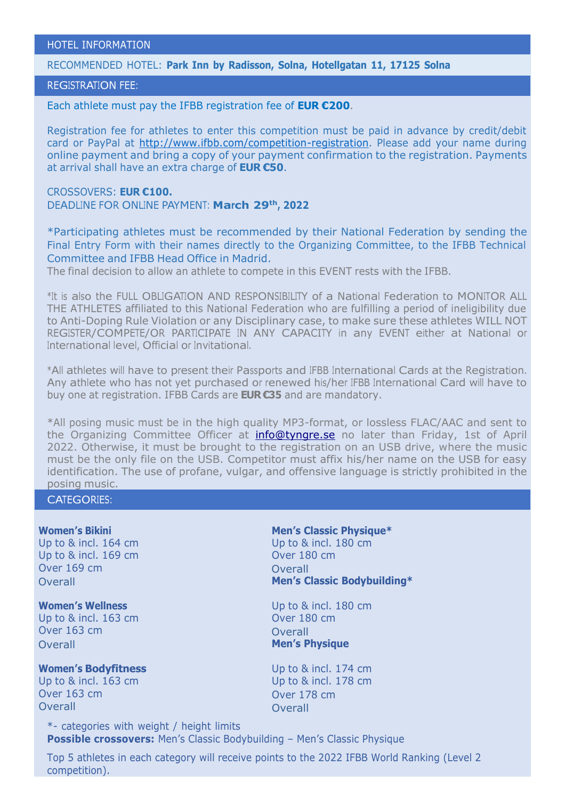### HOTEL INFORMATION

RECOMMENDED HOTEL: **Park Inn by Radisson, Solna, Hotellgatan 11, 17125 Solna**

# REGISTRATION FEE:

Each athlete must pay the IFBB registration fee of **EUR €200**.

Registration fee for athletes to enter this competition must be paid in advance by credit/debit card or PayPal at [http://www.ifbb.com/competition-registration. P](http://www.ifbb.com/competition-registration)lease add your name during online payment and bring a copy of your payment confirmation to the registration. Payments at arrival shall have an extra charge of **EUR €50**.

CROSSOVERS: **EUR €100.** DEADLINE FOR ONLINE PAYMENT: **March 29th , 2022**

\*Participating athletes must be recommended by their National Federation by sending the Final Entry Form with their names directly to the Organizing Committee, to the IFBB Technical Committee and IFBB Head Office in Madrid.

The final decision to allow an athlete to compete in this EVENT rests with the IFBB.

\*It is also the FULL OBLIGATION AND RESPONSIBILITY of a National Federation to MONITOR ALL THE ATHLETES affiliated to this National Federation who are fulfilling a period of ineligibility due to Anti-Doping Rule Violation or any Disciplinary case, to make sure these athletes WILL NOT REGISTER/COMPETE/OR PARTICIPATE IN ANY CAPACITY in any EVENT either at National or International level, Official or Invitational.

\*All athletes will have to present their Passports and IFBB International Cards at the Registration. Any athlete who has not yet purchased or renewed his/her IFBB International Card will have to buy one at registration. IFBB Cards are **EUR €35** and are mandatory.

\*All posing music must be in the high quality MP3-format, or lossless FLAC/AAC and sent to the Organizing Committee Officer at **[info@tyngre.se](mailto:info@tyngre.se)** no later than Friday, 1st of April 2022. Otherwise, it must be brought to the registration on an USB drive, where the music must be the only file on the USB. Competitor must affix his/her name on the USB for easy identification. The use of profane, vulgar, and offensive language is strictly prohibited in the posing music.

CATEGORIES:

Up to & incl. 169 cm Over 180 cm Over 169 cm and Overall and Overall

Up to & incl. 163 cm Over 180 cm Over 163 cm Overall Overall **Men's Physique**

**Women's Bodyfitness** Up to & incl. 174 cm Up to & incl. 163 cm Up to & incl. 178 cm Over 163 cm Over 178 cm Overall Overall

**Women's Bikini Men's Classic Physique\*** Up to & incl. 164 cm Up to & incl. 180 cm Overall **Men's Classic Bodybuilding\***

**Women's Wellness** Up to & incl. 180 cm

\*- categories with weight / height limits **Possible crossovers:** Men's Classic Bodybuilding – Men's Classic Physique

Top 5 athletes in each category will receive points to the 2022 IFBB World Ranking (Level 2 competition).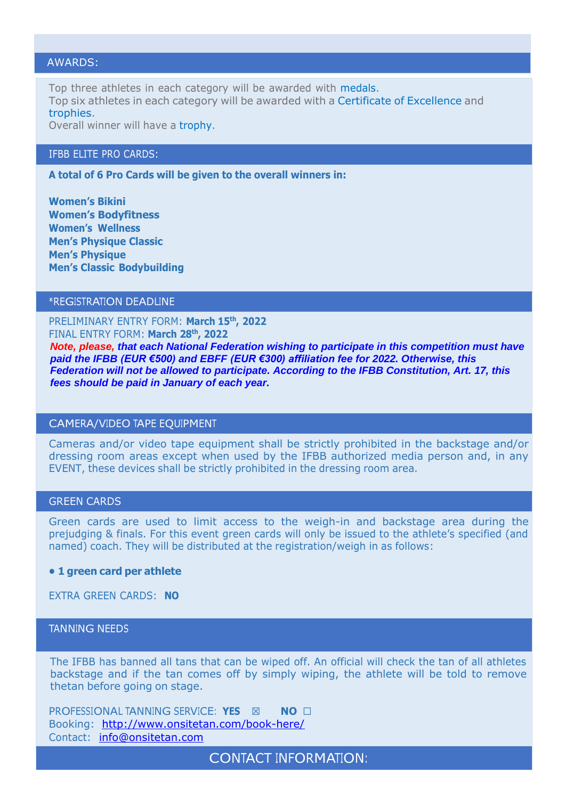# AWARDS:

Top three athletes in each category will be awarded with medals. Top six athletes in each category will be awarded with a Certificate of Excellence and trophies.

Overall winner will have a trophy.

### IFBB ELITE PRO CARDS:

**A total of 6 Pro Cards will be given to the overall winners in:**

**Women's Bikini Women's Bodyfitness Women's Wellness Men's Physique Classic Men's Physique Men's Classic Bodybuilding**

# \*REGISTRATION DEADLINE

PRELIMINARY ENTRY FORM: **March 15th , 2022** FINAL ENTRY FORM: **March 28 th , 2022**

*Note, please, that each National Federation wishing to participate in this competition must have paid the IFBB (EUR €500) and EBFF (EUR €300) affiliation fee for 2022. Otherwise, this Federation will not be allowed to participate. According to the IFBB Constitution, Art. 17, this fees should be paid in January of each year.*

#### CAMERA/VIDEO TAPE EQUIPMENT

Cameras and/or video tape equipment shall be strictly prohibited in the backstage and/or dressing room areas except when used by the IFBB authorized media person and, in any EVENT, these devices shall be strictly prohibited in the dressing room area.

#### GREEN CARDS

Green cards are used to limit access to the weigh-in and backstage area during the prejudging & finals. For this event green cards will only be issued to the athlete's specified (and named) coach. They will be distributed at the registration/weigh in as follows:

#### **• 1 green card per athlete**

EXTRA GREEN CARDS: **NO**

# TANNING NEEDS

The IFBB has banned all tans that can be wiped off. An official will check the tan of all athletes backstage and if the tan comes off by simply wiping, the athlete will be told to remove thetan before going on stage.

**PROFESSIONAL TANNING SERVICE: YES ⊠ NO** □ Booking: <http://www.onsitetan.com/book-here/> Contact: [info@onsitetan.com](mailto:info@onsitetan.com)

CONTACT INFORMATION: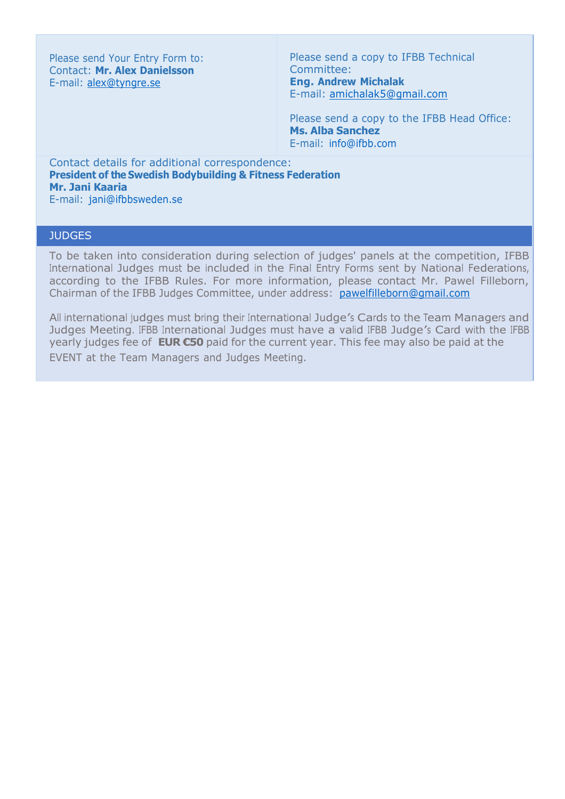Please send Your Entry Form to: Contact: **Mr. Alex Danielsson** E-mail: [alex@tyngre.se](mailto:alex@tyngre.se)

Please send a copy to IFBB Technical Committee: **Eng. Andrew Michalak** E-mail: [amichalak5@gmail.com](mailto:amichalak5@gmail.com)

Please send a copy to the IFBB Head Office: **Ms. Alba Sanchez** E-mail: [info@ifbb.com](mailto:info@ifbb.com)

Contact details for additional correspondence: **President of the Swedish Bodybuilding & Fitness Federation Mr. Jani Kaaria** E-mail: [jani@ifbbsweden.se](mailto:jani@ifbbsweden.se)

# **JUDGES**

To be taken into consideration during selection of judges' panels at the competition, IFBB International Judges must be included in the Final Entry Forms sent by National Federations, according to the IFBB Rules. For more information, please contact Mr. Pawel Filleborn, Chairman of the IFBB Judges Committee, under address: [pawelfilleborn@gmail.com](mailto:pawelfilleborn@gmail.com)

All international judges must bring their International Judge'<sup>s</sup> Cards to the Team Managers and Judges Meeting. IFBB International Judges must have a valid IFBB Judge'<sup>s</sup> Card with the IFBB yearly judges fee of **EUR €50** paid for the current year. This fee may also be paid at the EVENT at the Team Managers and Judges Meeting.